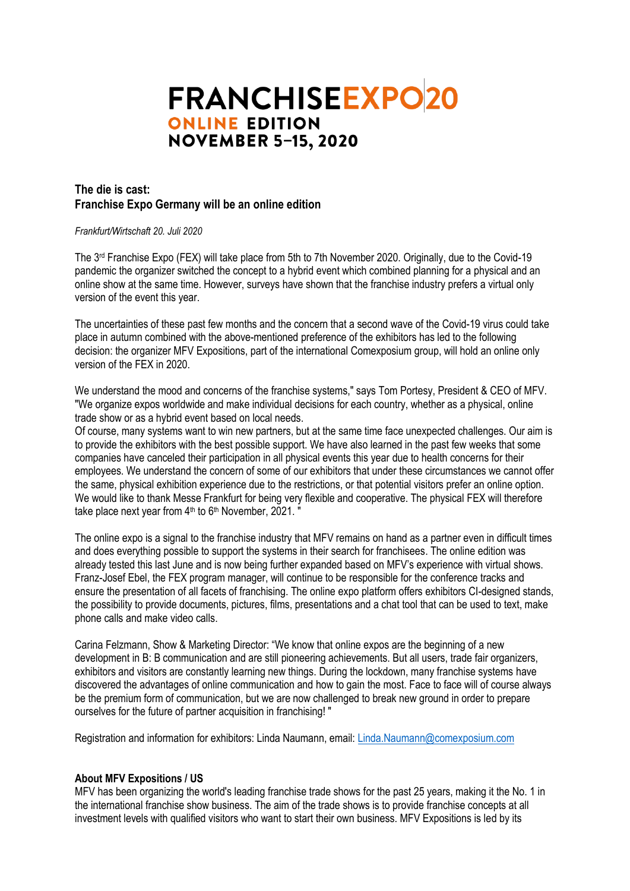# **FRANCHISEEXPO20 ONLINE EDITION NOVEMBER 5-15, 2020**

# **The die is cast: Franchise Expo Germany will be an online edition**

#### *Frankfurt/Wirtschaft 20. Juli 2020*

The 3<sup>rd</sup> Franchise Expo (FEX) will take place from 5th to 7th November 2020. Originally, due to the Covid-19 pandemic the organizer switched the concept to a hybrid event which combined planning for a physical and an online show at the same time. However, surveys have shown that the franchise industry prefers a virtual only version of the event this year.

The uncertainties of these past few months and the concern that a second wave of the Covid-19 virus could take place in autumn combined with the above-mentioned preference of the exhibitors has led to the following decision: the organizer MFV Expositions, part of the international Comexposium group, will hold an online only version of the FEX in 2020.

We understand the mood and concerns of the franchise systems," says Tom Portesy, President & CEO of MFV. "We organize expos worldwide and make individual decisions for each country, whether as a physical, online trade show or as a hybrid event based on local needs.

Of course, many systems want to win new partners, but at the same time face unexpected challenges. Our aim is to provide the exhibitors with the best possible support. We have also learned in the past few weeks that some companies have canceled their participation in all physical events this year due to health concerns for their employees. We understand the concern of some of our exhibitors that under these circumstances we cannot offer the same, physical exhibition experience due to the restrictions, or that potential visitors prefer an online option. We would like to thank Messe Frankfurt for being very flexible and cooperative. The physical FEX will therefore take place next year from 4<sup>th</sup> to 6<sup>th</sup> November, 2021. "

The online expo is a signal to the franchise industry that MFV remains on hand as a partner even in difficult times and does everything possible to support the systems in their search for franchisees. The online edition was already tested this last June and is now being further expanded based on MFV's experience with virtual shows. Franz-Josef Ebel, the FEX program manager, will continue to be responsible for the conference tracks and ensure the presentation of all facets of franchising. The online expo platform offers exhibitors CI-designed stands, the possibility to provide documents, pictures, films, presentations and a chat tool that can be used to text, make phone calls and make video calls.

Carina Felzmann, Show & Marketing Director: "We know that online expos are the beginning of a new development in B: B communication and are still pioneering achievements. But all users, trade fair organizers, exhibitors and visitors are constantly learning new things. During the lockdown, many franchise systems have discovered the advantages of online communication and how to gain the most. Face to face will of course always be the premium form of communication, but we are now challenged to break new ground in order to prepare ourselves for the future of partner acquisition in franchising! "

Registration and information for exhibitors: Linda Naumann, email: [Linda.Naumann@comexposium.com](mailto:Linda.Naumann@comexposium.com)

### **About MFV Expositions / US**

MFV has been organizing the world's leading franchise trade shows for the past 25 years, making it the No. 1 in the international franchise show business. The aim of the trade shows is to provide franchise concepts at all investment levels with qualified visitors who want to start their own business. MFV Expositions is led by its